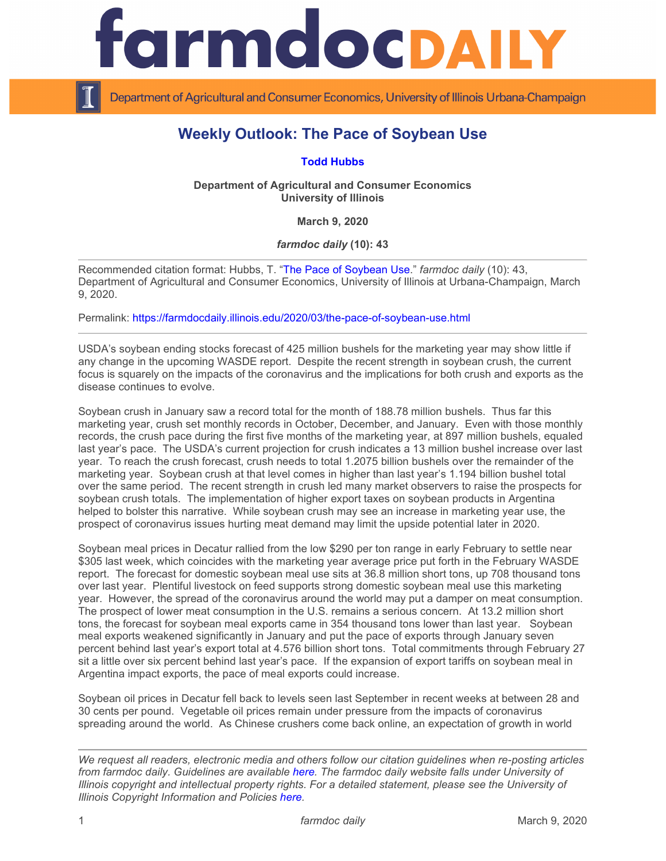

Department of Agricultural and Consumer Economics, University of Illinois Urbana-Champaign

## **Weekly Outlook: The Pace of Soybean Use**

**[Todd Hubbs](https://ace.illinois.edu/directory/jhubbs3)**

**Department of Agricultural and Consumer Economics University of Illinois**

**March 9, 2020**

*farmdoc daily* **(10): 43**

Recommended citation format: Hubbs, T. ["The Pace of Soybean Use.](https://farmdocdaily.illinois.edu/2020/03/the-pace-of-soybean-use.html)" *farmdoc daily* (10): 43, Department of Agricultural and Consumer Economics, University of Illinois at Urbana-Champaign, March 9, 2020.

Permalink:<https://farmdocdaily.illinois.edu/2020/03/the-pace-of-soybean-use.html>

USDA's soybean ending stocks forecast of 425 million bushels for the marketing year may show little if any change in the upcoming WASDE report. Despite the recent strength in soybean crush, the current focus is squarely on the impacts of the coronavirus and the implications for both crush and exports as the disease continues to evolve.

Soybean crush in January saw a record total for the month of 188.78 million bushels. Thus far this marketing year, crush set monthly records in October, December, and January. Even with those monthly records, the crush pace during the first five months of the marketing year, at 897 million bushels, equaled last year's pace. The USDA's current projection for crush indicates a 13 million bushel increase over last year. To reach the crush forecast, crush needs to total 1.2075 billion bushels over the remainder of the marketing year. Soybean crush at that level comes in higher than last year's 1.194 billion bushel total over the same period. The recent strength in crush led many market observers to raise the prospects for soybean crush totals. The implementation of higher export taxes on soybean products in Argentina helped to bolster this narrative. While soybean crush may see an increase in marketing year use, the prospect of coronavirus issues hurting meat demand may limit the upside potential later in 2020.

Soybean meal prices in Decatur rallied from the low \$290 per ton range in early February to settle near \$305 last week, which coincides with the marketing year average price put forth in the February WASDE report. The forecast for domestic soybean meal use sits at 36.8 million short tons, up 708 thousand tons over last year. Plentiful livestock on feed supports strong domestic soybean meal use this marketing year. However, the spread of the coronavirus around the world may put a damper on meat consumption. The prospect of lower meat consumption in the U.S. remains a serious concern. At 13.2 million short tons, the forecast for soybean meal exports came in 354 thousand tons lower than last year. Soybean meal exports weakened significantly in January and put the pace of exports through January seven percent behind last year's export total at 4.576 billion short tons. Total commitments through February 27 sit a little over six percent behind last year's pace. If the expansion of export tariffs on soybean meal in Argentina impact exports, the pace of meal exports could increase.

Soybean oil prices in Decatur fell back to levels seen last September in recent weeks at between 28 and 30 cents per pound. Vegetable oil prices remain under pressure from the impacts of coronavirus spreading around the world. As Chinese crushers come back online, an expectation of growth in world

*We request all readers, electronic media and others follow our citation guidelines when re-posting articles from farmdoc daily. Guidelines are available [here.](http://farmdocdaily.illinois.edu/citationguide.html) The farmdoc daily website falls under University of Illinois copyright and intellectual property rights. For a detailed statement, please see the University of Illinois Copyright Information and Policies [here.](http://www.cio.illinois.edu/policies/copyright/)*